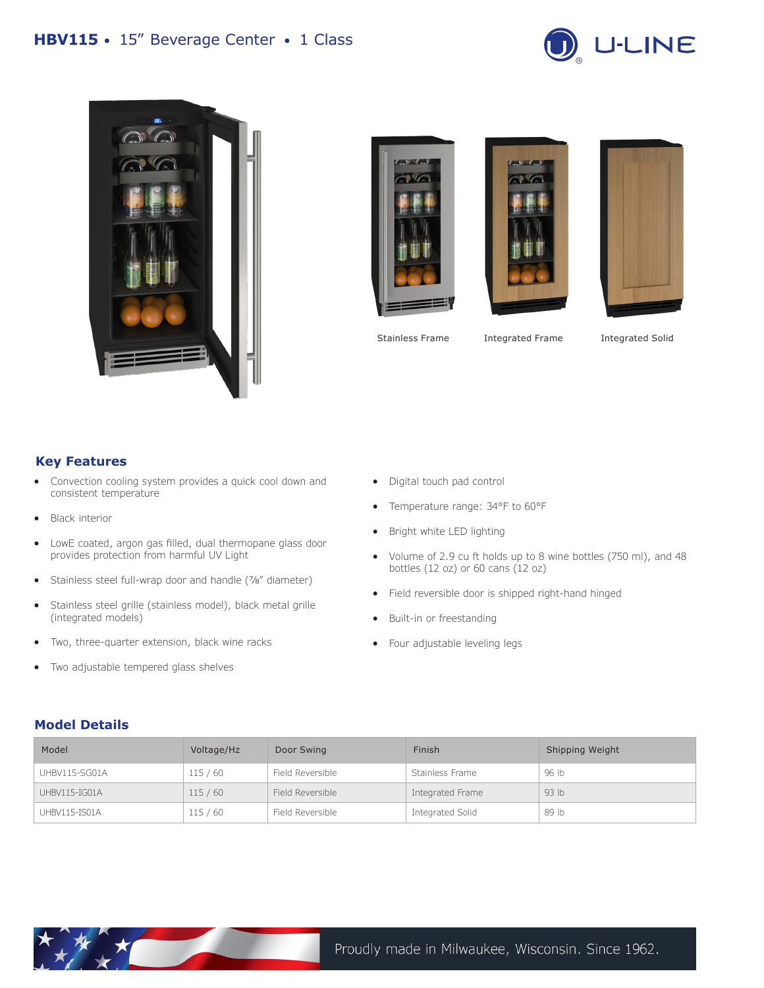# **HBV115** • 15" Beverage Center • 1 Class











Stainless Frame Integrated Frame

Integrated Solid

### **Key Features**

- Convection cooling system provides a quick cool down and consistent temperature
- Black interior
- LowE coated, argon gas filled, dual thermopane glass door provides protection from harmful UV Light
- Stainless steel full-wrap door and handle (7/8" diameter)
- Stainless steel grille (stainless model), black metal grille (integrated models)
- Two, three-quarter extension, black wine racks
- Two adjustable tempered glass shelves
- Digital touch pad control
- Temperature range: 34°F to 60°F
- Bright white LED lighting
- Volume of 2.9 cu ft holds up to 8 wine bottles (750 ml), and 48 bottles (12 oz) or 60 cans (12 oz)
- Field reversible door is shipped right-hand hinged
- Built-in or freestanding
- Four adjustable leveling legs

#### **Model Details**

| Model         | Voltage/Hz | Door Swing       | Finish           | Shipping Weight  |
|---------------|------------|------------------|------------------|------------------|
| UHBV115-SG01A | 115/60     | Field Reversible | Stainless Frame  | 96 lb            |
| UHBV115-IG01A | 115/60     | Field Reversible | Integrated Frame | 93 <sub>lb</sub> |
| UHBV115-IS01A | 115/60     | Field Reversible | Integrated Solid | 89 lb            |